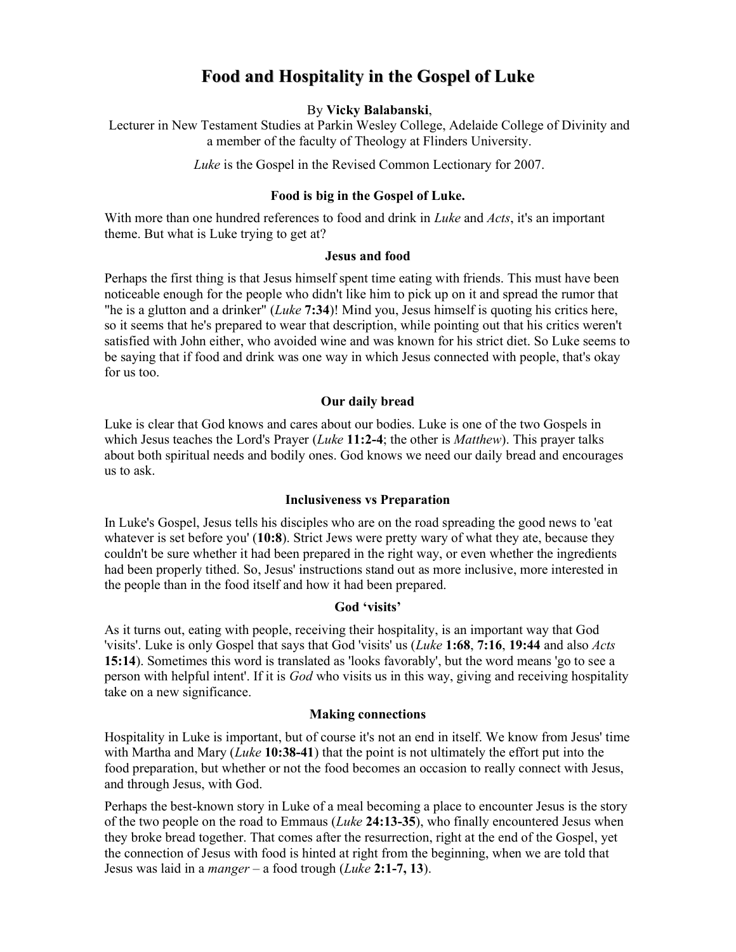# Food and Hospitality in the Gospel of Luke

#### By Vicky Balabanski,

Lecturer in New Testament Studies at Parkin Wesley College, Adelaide College of Divinity and a member of the faculty of Theology at Flinders University.

Luke is the Gospel in the Revised Common Lectionary for 2007.

#### Food is big in the Gospel of Luke.

With more than one hundred references to food and drink in *Luke* and *Acts*, it's an important theme. But what is Luke trying to get at?

#### Jesus and food

Perhaps the first thing is that Jesus himself spent time eating with friends. This must have been noticeable enough for the people who didn't like him to pick up on it and spread the rumor that "he is a glutton and a drinker"  $(Luke 7:34)!$  Mind you, Jesus himself is quoting his critics here, so it seems that he's prepared to wear that description, while pointing out that his critics weren't satisfied with John either, who avoided wine and was known for his strict diet. So Luke seems to be saying that if food and drink was one way in which Jesus connected with people, that's okay for us too.

#### Our daily bread

Luke is clear that God knows and cares about our bodies. Luke is one of the two Gospels in which Jesus teaches the Lord's Prayer (*Luke* 11:2-4; the other is *Matthew*). This prayer talks about both spiritual needs and bodily ones. God knows we need our daily bread and encourages us to ask.

#### Inclusiveness vs Preparation

In Luke's Gospel, Jesus tells his disciples who are on the road spreading the good news to 'eat whatever is set before you' (10:8). Strict Jews were pretty wary of what they ate, because they couldn't be sure whether it had been prepared in the right way, or even whether the ingredients had been properly tithed. So, Jesus' instructions stand out as more inclusive, more interested in the people than in the food itself and how it had been prepared.

#### God 'visits'

As it turns out, eating with people, receiving their hospitality, is an important way that God 'visits'. Luke is only Gospel that says that God 'visits' us (Luke 1:68, 7:16, 19:44 and also Acts 15:14). Sometimes this word is translated as 'looks favorably', but the word means 'go to see a person with helpful intent'. If it is God who visits us in this way, giving and receiving hospitality take on a new significance.

#### Making connections

Hospitality in Luke is important, but of course it's not an end in itself. We know from Jesus' time with Martha and Mary (*Luke* 10:38-41) that the point is not ultimately the effort put into the food preparation, but whether or not the food becomes an occasion to really connect with Jesus, and through Jesus, with God.

Perhaps the best-known story in Luke of a meal becoming a place to encounter Jesus is the story of the two people on the road to Emmaus (*Luke* 24:13-35), who finally encountered Jesus when they broke bread together. That comes after the resurrection, right at the end of the Gospel, yet the connection of Jesus with food is hinted at right from the beginning, when we are told that Jesus was laid in a *manger* – a food trough (*Luke* 2:1-7, 13).